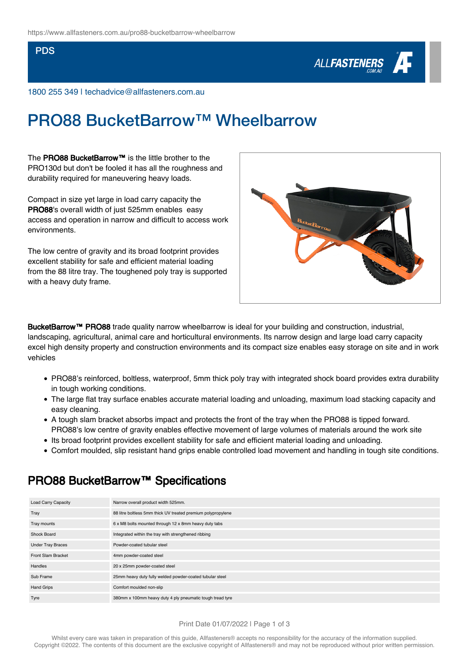### PDS



1800 255 349 | techadvice@allfasteners.com.au

# PRO88 BucketBarrow™ Wheelbarrow

The PRO88 BucketBarrow™ is the little brother to the PRO130d but don't be fooled it has all the roughness and durability required for maneuvering heavy loads.

Compact in size yet large in load carry capacity the PRO88's overall width of just 525mm enables easy access and operation in narrow and difficult to access work environments.

The low centre of gravity and its broad footprint provides excellent stability for safe and efficient material loading from the 88 litre tray. The toughened poly tray is supported with a heavy duty frame.



BucketBarrow™ PRO88 trade quality narrow wheelbarrow is ideal for your building and construction, industrial, landscaping, agricultural, animal care and horticultural environments. Its narrow design and large load carry capacity excel high density property and construction environments and its compact size enables easy storage on site and in work vehicles

- PRO88's reinforced, boltless, waterproof, 5mm thick poly tray with integrated shock board provides extra durability in tough working conditions.
- The large flat tray surface enables accurate material loading and unloading, maximum load stacking capacity and easy cleaning.
- A tough slam bracket absorbs impact and protects the front of the tray when the PRO88 is tipped forward. PRO88's low centre of gravity enables effective movement of large volumes of materials around the work site
- Its broad footprint provides excellent stability for safe and efficient material loading and unloading.
- Comfort moulded, slip resistant hand grips enable controlled load movement and handling in tough site conditions.

## PRO88 BucketBarrow™ Specifications

| <b>Load Carry Capacity</b> | Narrow overall product width 525mm.                          |
|----------------------------|--------------------------------------------------------------|
| Tray                       | 88 litre boltless 5mm thick UV treated premium polypropylene |
| Tray mounts                | 6 x M8 bolts mounted through 12 x 8mm heavy duty tabs        |
| Shock Board                | Integrated within the tray with strengthened ribbing         |
| <b>Under Tray Braces</b>   | Powder-coated tubular steel                                  |
| Front Slam Bracket         | 4mm powder-coated steel                                      |
| Handles                    | 20 x 25mm powder-coated steel                                |
| Sub Frame                  | 25mm heavy duty fully welded powder-coated tubular steel     |
| <b>Hand Grips</b>          | Comfort moulded non-slip                                     |
| Tyre                       | 380mm x 100mm heavy duty 4 ply pneumatic tough tread tyre    |

#### Print Date 01/07/2022 | Page 1 of 3

Whilst every care was taken in preparation of this guide, Allfasteners® accepts no responsibility for the accuracy of the information supplied Copyright ©2022. The contents of this document are the exclusive copyright of Allfasteners® and may not be reproduced without prior written permission.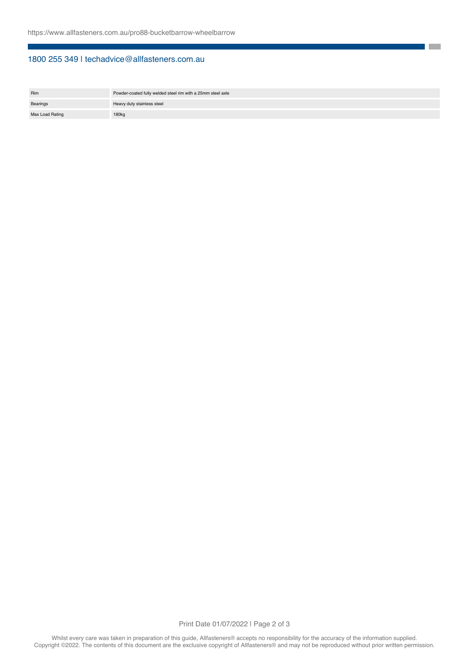### 1800 255 349 | techadvice@allfasteners.com.au

| <b>Rim</b>      | Powder-coated fully welded steel rim with a 25mm steel axle |
|-----------------|-------------------------------------------------------------|
| Bearings        | Heavy duty stainless steel                                  |
| Max Load Rating | 180kg                                                       |

**The State**